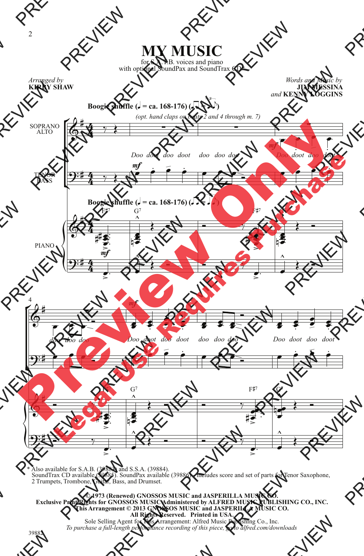## **MY MUSIC**

for S.A.T.B. voices and piano with optional SoundPax and SoundTrax CD\*

*Arranged by* **KIRBY SHAW**

*Words and Music by* **JIM MESSINA** *and* **KENNY LOGGINS**



\* Also available for S.A.B. (39883) and S.S.A. (39884). SoundTrax CD available (39885). SoundPax available (39886) - includes score and set of parts for Tenor Saxophone, 2 Trumpets, Trombone, Guitar, Bass, and Drumset.

**© 1973 (Renewed) GNOSSOS MUSIC and JASPERILLA MUSIC CO. Exclusive Print Rights for GNOSSOS MUSIC Administered by ALFRED MUSIC PUBLISHING CO., INC. This Arrangement © 2013 GNOSSOS MUSIC and JASPERILLA MUSIC CO. All Rights Reserved. Printed in USA.**

Sole Selling Agent for This Arrangement: Alfred Music Publishing Co., Inc. *To purchase a full-length performance recording of this piece, go to alfred.com/downloads*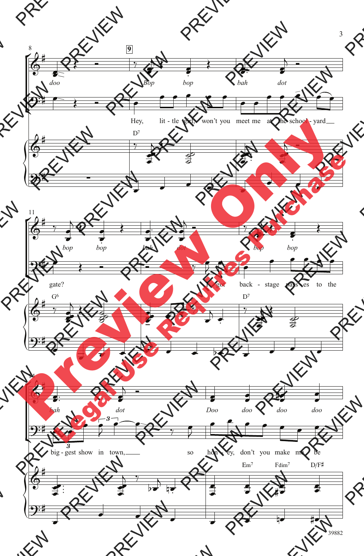

39882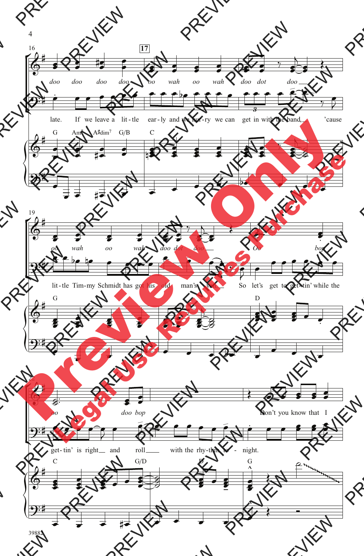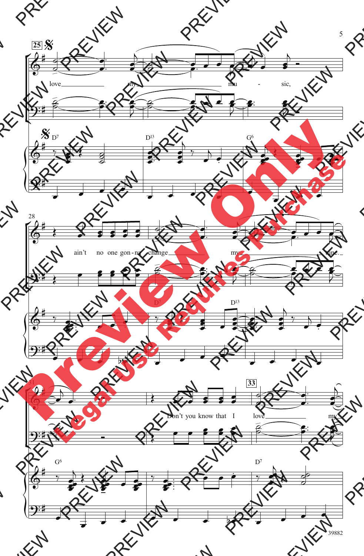

<sup>39882</sup>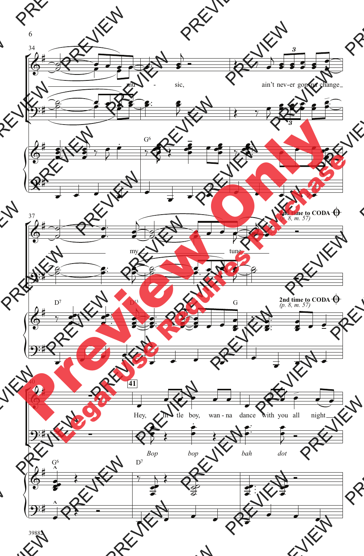

39882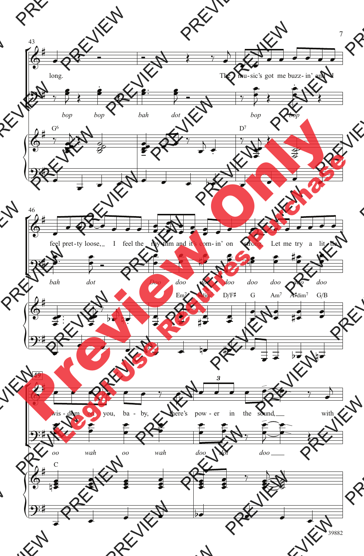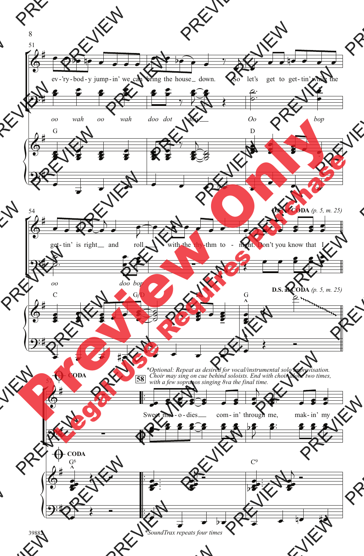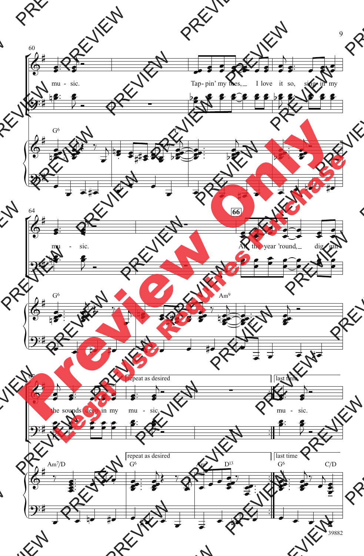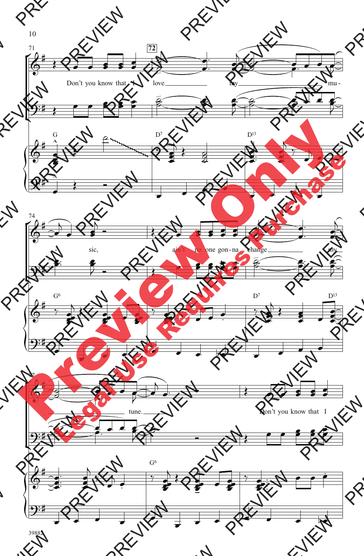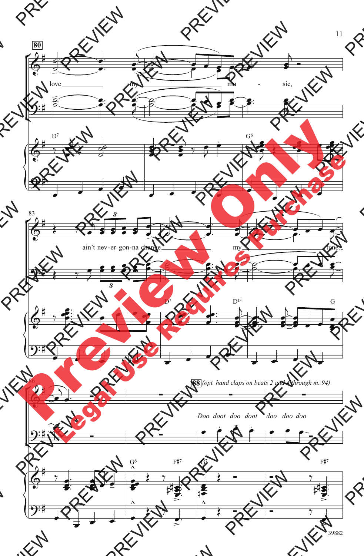